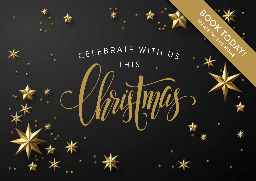CELEBRATE WITH US THIS

٠

 $\bullet$ 

ó

ė.

٠

×

٠

c

٠

ö

BOOK TAKE NO DAY

c

٠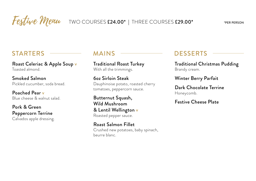# **STARTERS**

Roast Celeriac & Apple Soup v Toasted almond.

Smoked Salmon Pickled cucumber, soda bread.

Festive Menu

Poached Pear v Blue cheese & walnut salad.

Pork & Green Peppercorn Terrine Calvados apple dressing.

## **MAINS**

Traditional Roast Turkey With all the trimmings.

6oz Sirloin Steak Dauphinoise potato, roasted cherry tomatoes, peppercorn sauce.

Butternut Squash, Wild Mushroom & Lentil Wellington v Roasted pepper sauce.

Roast Salmon Fillet Crushed new potatoes, baby spinach, beurre blanc.

# **DESSERTS**

Traditional Christmas Pudding Brandy cream.

Winter Berry Parfait

Dark Chocolate Terrine Honeycomb.

Festive Cheese Plate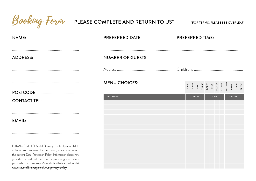| Booking Form                                                                                                                                                                                                                                                                                                                                                                 | PLEASE COMPLETE AND RETURN TO US* | *FOR TERMS, PLEASE SEE OVERLEAF                                                                  |
|------------------------------------------------------------------------------------------------------------------------------------------------------------------------------------------------------------------------------------------------------------------------------------------------------------------------------------------------------------------------------|-----------------------------------|--------------------------------------------------------------------------------------------------|
| NAME:                                                                                                                                                                                                                                                                                                                                                                        | <b>PREFERRED DATE:</b>            | <b>PREFERRED TIME:</b>                                                                           |
| <b>ADDRESS:</b>                                                                                                                                                                                                                                                                                                                                                              | <b>NUMBER OF GUESTS:</b>          |                                                                                                  |
|                                                                                                                                                                                                                                                                                                                                                                              |                                   | Children:                                                                                        |
|                                                                                                                                                                                                                                                                                                                                                                              | <b>MENU CHOICES:</b>              | SOUP<br>PEAR<br>PEAR PEAR<br>TERRINE<br>TERRING MALITON<br>SALMON<br>SALMON<br>SALMON<br>PARFAIT |
|                                                                                                                                                                                                                                                                                                                                                                              |                                   |                                                                                                  |
| <b>CONTACT TEL:</b>                                                                                                                                                                                                                                                                                                                                                          | <b>GUEST NAME</b>                 | <b>MAIN</b><br><b>DESSERT</b><br><b>STARTER</b>                                                  |
| EMAIL:                                                                                                                                                                                                                                                                                                                                                                       |                                   |                                                                                                  |
|                                                                                                                                                                                                                                                                                                                                                                              |                                   |                                                                                                  |
| Bath Ales (part of St Austell Brewery) treats all personal data<br>collected and processed for this booking in accordance with<br>the current Data Protection Policy. Information about how<br>your data is used and the basis for processing your data is<br>provided in the Company's Privacy Policy that can be found at<br>www.staustellbrewery.co.uk/our-privacy-policy |                                   |                                                                                                  |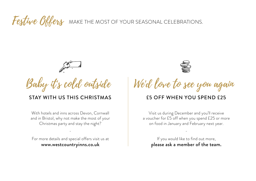#### MAKE THE MOST OF YOUR SEASONAL CELEBRATIONS. Festive Offers



### STAY WITH US THIS CHRISTMAS

With hotels and inns across Devon, Cornwall and in Bristol, why not make the most of your Christmas party and stay the night?

For more details and special offers visit us at www.westcountryinns.co.uk

-



Baby it's cold outside We'd love to see you again

#### £5 OFF WHEN YOU SPEND £25

Visit us during December and you'll receive a voucher for £5 off when you spend £25 or more on food in January and February next year.

If you would like to find out more, please ask a member of the team.

-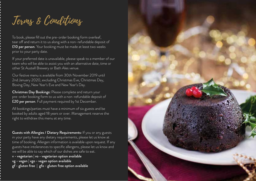Terms & Conditions

To book, please fill out the pre-order booking form overleaf, tear off and return it to us along with a non-refundable deposit of £10 per person. Your booking must be made at least two weeks prior to your party date.

If your preferred date is unavailable, please speak to a member of our team who will be able to assist you with an alternative date, time or other St Austell Brewery or Bath Ales venue.

Our festive menu is available from 30th November 2019 until 2nd January 2020, excluding Christmas Eve, Christmas Day, Boxing Day, New Year's Eve and New Year's Day.

Christmas Day Bookings: Please complete and return your pre-order booking form to us with a non-refundable deposit of £20 per person. Full payment required by 1st December.

All bookings/parties must have a minimum of six guests and be booked by adults aged 18 years or over. Management reserve the right to withdraw this menu at any time.

Guests with Allergies / Dietary Requirements: If you or any guests in your party have any dietary requirements, please let us know at time of booking. Allergen information is available upon request. If any guests have intolerances to specific allergens, please let us know and we will be able to say which of our dishes are safe to eat.

v - vegetarian | vo - vegetarian option available vg - vegan | vgo - vegan option available gf - gluten free | gfo - gluten free option available